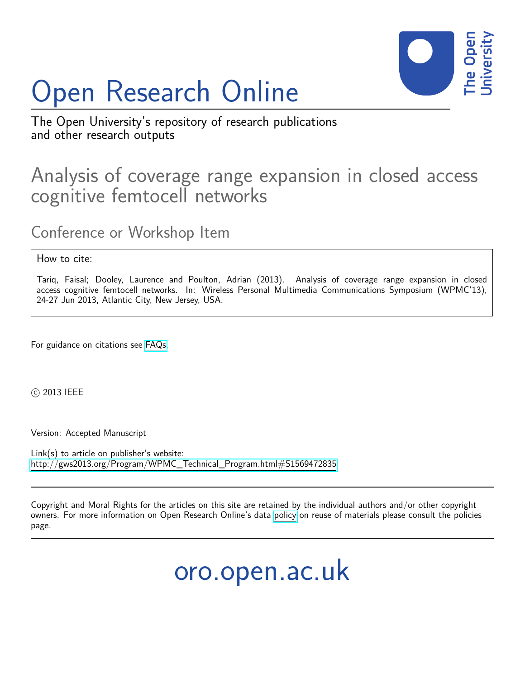# Open Research Online



The Open University's repository of research publications and other research outputs

## Analysis of coverage range expansion in closed access cognitive femtocell networks

Conference or Workshop Item

### How to cite:

Tariq, Faisal; Dooley, Laurence and Poulton, Adrian (2013). Analysis of coverage range expansion in closed access cognitive femtocell networks. In: Wireless Personal Multimedia Communications Symposium (WPMC'13), 24-27 Jun 2013, Atlantic City, New Jersey, USA.

For guidance on citations see [FAQs.](http://oro.open.ac.uk/help/helpfaq.html)

c 2013 IEEE

Version: Accepted Manuscript

Link(s) to article on publisher's website: [http://gws2013.org/Program/WPMC\\_Technical\\_Program.html#S1569472835](http://gws2013.org/Program/WPMC_Technical_Program.html#S1569472835)

Copyright and Moral Rights for the articles on this site are retained by the individual authors and/or other copyright owners. For more information on Open Research Online's data [policy](http://oro.open.ac.uk/policies.html) on reuse of materials please consult the policies page.

oro.open.ac.uk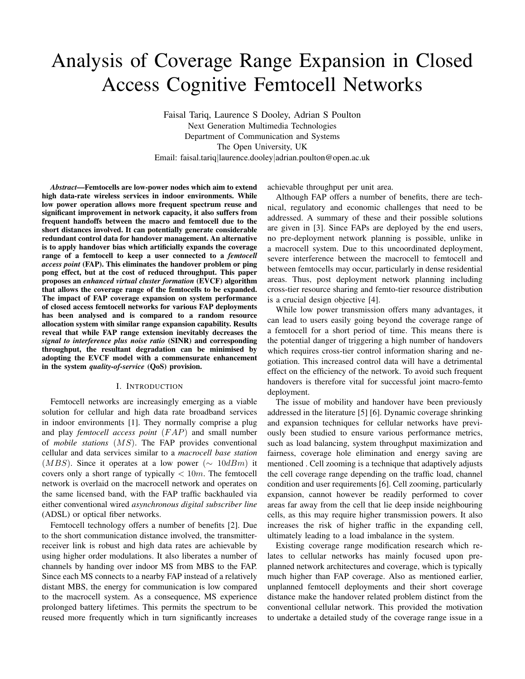## Analysis of Coverage Range Expansion in Closed Access Cognitive Femtocell Networks

Faisal Tariq, Laurence S Dooley, Adrian S Poulton Next Generation Multimedia Technologies Department of Communication and Systems The Open University, UK Email: faisal.tariq|laurence.dooley|adrian.poulton@open.ac.uk

*Abstract*—Femtocells are low-power nodes which aim to extend high data-rate wireless services in indoor environments. While low power operation allows more frequent spectrum reuse and significant improvement in network capacity, it also suffers from frequent handoffs between the macro and femtocell due to the short distances involved. It can potentially generate considerable redundant control data for handover management. An alternative is to apply handover bias which artificially expands the coverage range of a femtocell to keep a user connected to a *femtocell access point* (FAP). This eliminates the handover problem or ping pong effect, but at the cost of reduced throughput. This paper proposes an *enhanced virtual cluster formation* (EVCF) algorithm that allows the coverage range of the femtocells to be expanded. The impact of FAP coverage expansion on system performance of closed access femtocell networks for various FAP deployments has been analysed and is compared to a random resource allocation system with similar range expansion capability. Results reveal that while FAP range extension inevitably decreases the *signal to interference plus noise ratio* (SINR) and corresponding throughput, the resultant degradation can be minimised by adopting the EVCF model with a commensurate enhancement in the system *quality-of-service* (QoS) provision.

#### I. INTRODUCTION

Femtocell networks are increasingly emerging as a viable solution for cellular and high data rate broadband services in indoor environments [1]. They normally comprise a plug and play *femtocell access point* (FAP) and small number of *mobile stations* (MS). The FAP provides conventional cellular and data services similar to a *macrocell base station*  $(MBS)$ . Since it operates at a low power ( $\sim 10$ d $Bm$ ) it covers only a short range of typically  $< 10m$ . The femtocell network is overlaid on the macrocell network and operates on the same licensed band, with the FAP traffic backhauled via either conventional wired *asynchronous digital subscriber line* (ADSL) or optical fiber networks.

Femtocell technology offers a number of benefits [2]. Due to the short communication distance involved, the transmitterreceiver link is robust and high data rates are achievable by using higher order modulations. It also liberates a number of channels by handing over indoor MS from MBS to the FAP. Since each MS connects to a nearby FAP instead of a relatively distant MBS, the energy for communication is low compared to the macrocell system. As a consequence, MS experience prolonged battery lifetimes. This permits the spectrum to be reused more frequently which in turn significantly increases

achievable throughput per unit area.

Although FAP offers a number of benefits, there are technical, regulatory and economic challenges that need to be addressed. A summary of these and their possible solutions are given in [3]. Since FAPs are deployed by the end users, no pre-deployment network planning is possible, unlike in a macrocell system. Due to this uncoordinated deployment, severe interference between the macrocell to femtocell and between femtocells may occur, particularly in dense residential areas. Thus, post deployment network planning including cross-tier resource sharing and femto-tier resource distribution is a crucial design objective [4].

While low power transmission offers many advantages, it can lead to users easily going beyond the coverage range of a femtocell for a short period of time. This means there is the potential danger of triggering a high number of handovers which requires cross-tier control information sharing and negotiation. This increased control data will have a detrimental effect on the efficiency of the network. To avoid such frequent handovers is therefore vital for successful joint macro-femto deployment.

The issue of mobility and handover have been previously addressed in the literature [5] [6]. Dynamic coverage shrinking and expansion techniques for cellular networks have previously been studied to ensure various performance metrics, such as load balancing, system throughput maximization and fairness, coverage hole elimination and energy saving are mentioned . Cell zooming is a technique that adaptively adjusts the cell coverage range depending on the traffic load, channel condition and user requirements [6]. Cell zooming, particularly expansion, cannot however be readily performed to cover areas far away from the cell that lie deep inside neighbouring cells, as this may require higher transmission powers. It also increases the risk of higher traffic in the expanding cell, ultimately leading to a load imbalance in the system.

Existing coverage range modification research which relates to cellular networks has mainly focused upon preplanned network architectures and coverage, which is typically much higher than FAP coverage. Also as mentioned earlier, unplanned femtocell deployments and their short coverage distance make the handover related problem distinct from the conventional cellular network. This provided the motivation to undertake a detailed study of the coverage range issue in a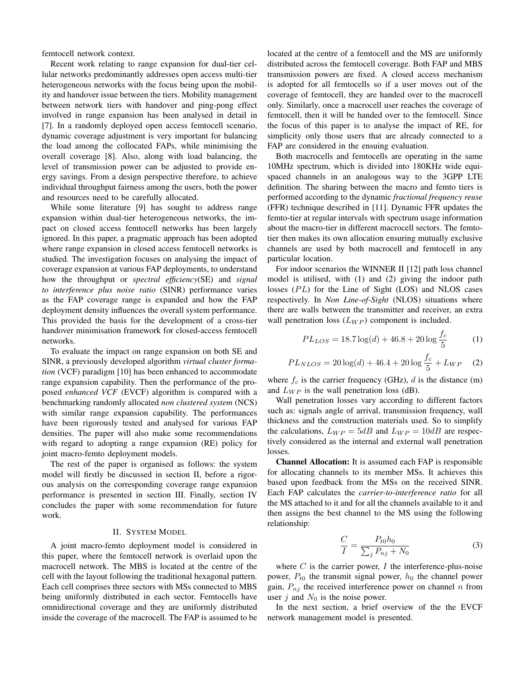femtocell network context.

Recent work relating to range expansion for dual-tier cellular networks predominantly addresses open access multi-tier heterogeneous networks with the focus being upon the mobility and handover issue between the tiers. Mobility management between network tiers with handover and ping-pong effect involved in range expansion has been analysed in detail in [7]. In a randomly deployed open access femtocell scenario, dynamic coverage adjustment is very important for balancing the load among the collocated FAPs, while minimising the overall coverage [8]. Also, along with load balancing, the level of transmission power can be adjusted to provide energy savings. From a design perspective therefore, to achieve individual throughput fairness among the users, both the power and resources need to be carefully allocated.

While some literature [9] has sought to address range expansion within dual-tier heterogeneous networks, the impact on closed access femtocell networks has been largely ignored. In this paper, a pragmatic approach has been adopted where range expansion in closed access femtocell networks is studied. The investigation focuses on analysing the impact of coverage expansion at various FAP deployments, to understand how the throughput or *spectral efficiency*(SE) and *signal to interference plus noise ratio* (SINR) performance varies as the FAP coverage range is expanded and how the FAP deployment density influences the overall system performance. This provided the basis for the development of a cross-tier handover minimisation framework for closed-access femtocell networks.

To evaluate the impact on range expansion on both SE and SINR, a previously developed algorithm *virtual cluster formation* (VCF) paradigm [10] has been enhanced to accommodate range expansion capability. Then the performance of the proposed *enhanced VCF* (EVCF) algorithm is compared with a benchmarking randomly allocated *non clustered system* (NCS) with similar range expansion capability. The performances have been rigorously tested and analysed for various FAP densities. The paper will also make some recommendations with regard to adopting a range expansion (RE) policy for joint macro-femto deployment models.

The rest of the paper is organised as follows: the system model will firstly be discussed in section II, before a rigorous analysis on the corresponding coverage range expansion performance is presented in section III. Finally, section IV concludes the paper with some recommendation for future work.

#### II. SYSTEM MODEL

A joint macro-femto deployment model is considered in this paper, where the femtocell network is overlaid upon the macrocell network. The MBS is located at the centre of the cell with the layout following the traditional hexagonal pattern. Each cell comprises three sectors with MSs connected to MBS being uniformly distributed in each sector. Femtocells have omnidirectional coverage and they are uniformly distributed inside the coverage of the macrocell. The FAP is assumed to be located at the centre of a femtocell and the MS are uniformly distributed across the femtocell coverage. Both FAP and MBS transmission powers are fixed. A closed access mechanism is adopted for all femtocells so if a user moves out of the coverage of femtocell, they are handed over to the macrocell only. Similarly, once a macrocell user reaches the coverage of femtocell, then it will be handed over to the femtocell. Since the focus of this paper is to analyse the impact of RE, for simplicity only those users that are already connected to a FAP are considered in the ensuing evaluation.

Both macrocells and femtocells are operating in the same 10MHz spectrum, which is divided into 180KHz wide equispaced channels in an analogous way to the 3GPP LTE definition. The sharing between the macro and femto tiers is performed according to the dynamic *fractional frequency reuse* (FFR) technique described in [11]. Dynamic FFR updates the femto-tier at regular intervals with spectrum usage information about the macro-tier in different macrocell sectors. The femtotier then makes its own allocation ensuring mutually exclusive channels are used by both macrocell and femtocell in any particular location.

For indoor scenarios the WINNER II [12] path loss channel model is utilised, with (1) and (2) giving the indoor path losses  $(PL)$  for the Line of Sight (LOS) and NLOS cases respectively. In *Non Line-of-Sight* (NLOS) situations where there are walls between the transmitter and receiver, an extra wall penetration loss  $(L_{WP})$  component is included.

$$
PL_{LOS} = 18.7 \log(d) + 46.8 + 20 \log \frac{f_c}{5}
$$
 (1)

$$
PL_{NLOS} = 20 \log(d) + 46.4 + 20 \log \frac{f_c}{5} + L_{WP} \quad (2)
$$

where  $f_c$  is the carrier frequency (GHz),  $d$  is the distance (m) and  $L_{WP}$  is the wall penetration loss (dB).

Wall penetration losses vary according to different factors such as: signals angle of arrival, transmission frequency, wall thickness and the construction materials used. So to simplify the calculations,  $L_{WP} = 5dB$  and  $L_{WP} = 10dB$  are respectively considered as the internal and external wall penetration losses.

Channel Allocation: It is assumed each FAP is responsible for allocating channels to its member MSs. It achieves this based upon feedback from the MSs on the received SINR. Each FAP calculates the *carrier-to-interference ratio* for all the MS attached to it and for all the channels available to it and then assigns the best channel to the MS using the following relationship:

$$
\frac{C}{I} = \frac{P_{t0}h_0}{\sum_j P_{nj} + N_0}
$$
\n(3)

where  $C$  is the carrier power,  $I$  the interference-plus-noise power,  $P_{t0}$  the transmit signal power,  $h_0$  the channel power gain,  $P_{ni}$  the received interference power on channel n from user  $j$  and  $N_0$  is the noise power.

In the next section, a brief overview of the the EVCF network management model is presented.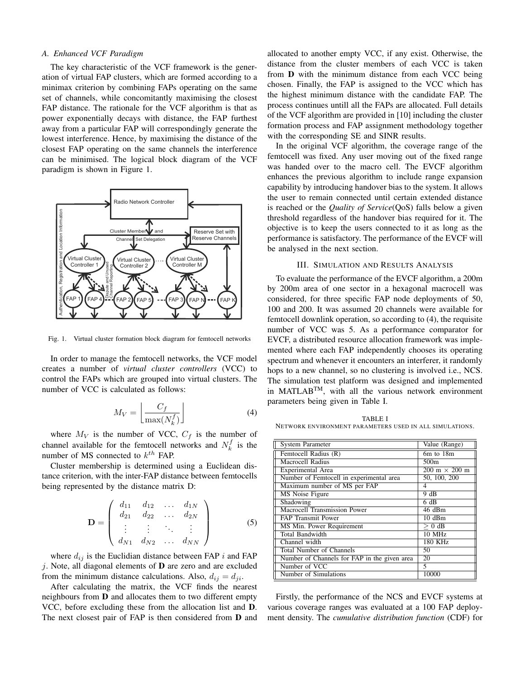#### *A. Enhanced VCF Paradigm*

The key characteristic of the VCF framework is the generation of virtual FAP clusters, which are formed according to a minimax criterion by combining FAPs operating on the same set of channels, while concomitantly maximising the closest FAP distance. The rationale for the VCF algorithm is that as power exponentially decays with distance, the FAP furthest away from a particular FAP will correspondingly generate the lowest interference. Hence, by maximising the distance of the closest FAP operating on the same channels the interference can be minimised. The logical block diagram of the VCF paradigm is shown in Figure 1.



Fig. 1. Virtual cluster formation block diagram for femtocell networks

In order to manage the femtocell networks, the VCF model creates a number of *virtual cluster controllers* (VCC) to control the FAPs which are grouped into virtual clusters. The number of VCC is calculated as follows:

$$
M_V = \left\lfloor \frac{C_f}{\max(N_k^f)} \right\rfloor \tag{4}
$$

where  $M_V$  is the number of VCC,  $C_f$  is the number of channel available for the femtocell networks and  $N_k^f$  is the number of MS connected to  $k^{th}$  FAP.

Cluster membership is determined using a Euclidean distance criterion, with the inter-FAP distance between femtocells being represented by the distance matrix D:

$$
\mathbf{D} = \left( \begin{array}{cccc} d_{11} & d_{12} & \dots & d_{1N} \\ d_{21} & d_{22} & \dots & d_{2N} \\ \vdots & \vdots & \ddots & \vdots \\ d_{N1} & d_{N2} & \dots & d_{NN} \end{array} \right) \tag{5}
$$

where  $d_{ij}$  is the Euclidian distance between FAP i and FAP  $j$ . Note, all diagonal elements of  **are zero and are excluded** from the minimum distance calculations. Also,  $d_{ij} = d_{ji}$ .

After calculating the matrix, the VCF finds the nearest neighbours from D and allocates them to two different empty VCC, before excluding these from the allocation list and D. The next closest pair of FAP is then considered from D and

allocated to another empty VCC, if any exist. Otherwise, the distance from the cluster members of each VCC is taken from D with the minimum distance from each VCC being chosen. Finally, the FAP is assigned to the VCC which has the highest minimum distance with the candidate FAP. The process continues untill all the FAPs are allocated. Full details of the VCF algorithm are provided in [10] including the cluster formation process and FAP assignment methodology together with the corresponding SE and SINR results.

In the original VCF algorithm, the coverage range of the femtocell was fixed. Any user moving out of the fixed range was handed over to the macro cell. The EVCF algorithm enhances the previous algorithm to include range expansion capability by introducing handover bias to the system. It allows the user to remain connected until certain extended distance is reached or the *Quality of Service*(QoS) falls below a given threshold regardless of the handover bias required for it. The objective is to keep the users connected to it as long as the performance is satisfactory. The performance of the EVCF will be analysed in the next section.

#### III. SIMULATION AND RESULTS ANALYSIS

To evaluate the performance of the EVCF algorithm, a 200m by 200m area of one sector in a hexagonal macrocell was considered, for three specific FAP node deployments of 50, 100 and 200. It was assumed 20 channels were available for femtocell downlink operation, so according to (4), the requisite number of VCC was 5. As a performance comparator for EVCF, a distributed resource allocation framework was implemented where each FAP independently chooses its operating spectrum and whenever it encounters an interferer, it randomly hops to a new channel, so no clustering is involved i.e., NCS. The simulation test platform was designed and implemented in MATLABTM, with all the various network environment parameters being given in Table I.

TABLE I NETWORK ENVIRONMENT PARAMETERS USED IN ALL SIMULATIONS.

| <b>System Parameter</b>                      | Value (Range)                        |
|----------------------------------------------|--------------------------------------|
| Femtocell Radius (R)                         | 6m to 18m                            |
| Macrocell Radius                             | 500 <sub>m</sub>                     |
| Experimental Area                            | $200 \text{ m} \times 200 \text{ m}$ |
| Number of Femtocell in experimental area     | 50, 100, 200                         |
| Maximum number of MS per FAP                 | 4                                    |
| MS Noise Figure                              | 9 dB                                 |
| Shadowing                                    | 6 dB                                 |
| Macrocell Transmission Power                 | 46 dBm                               |
| <b>FAP Transmit Power</b>                    | $10 \text{ dBm}$                     |
| MS Min. Power Requirement                    | $> 0$ dB                             |
| <b>Total Bandwidth</b>                       | 10 MHz                               |
| Channel width                                | 180 KHz                              |
| <b>Total Number of Channels</b>              | 50                                   |
| Number of Channels for FAP in the given area | 20                                   |
| Number of VCC                                | 5                                    |
| Number of Simulations                        | 10000                                |

Firstly, the performance of the NCS and EVCF systems at various coverage ranges was evaluated at a 100 FAP deployment density. The *cumulative distribution function* (CDF) for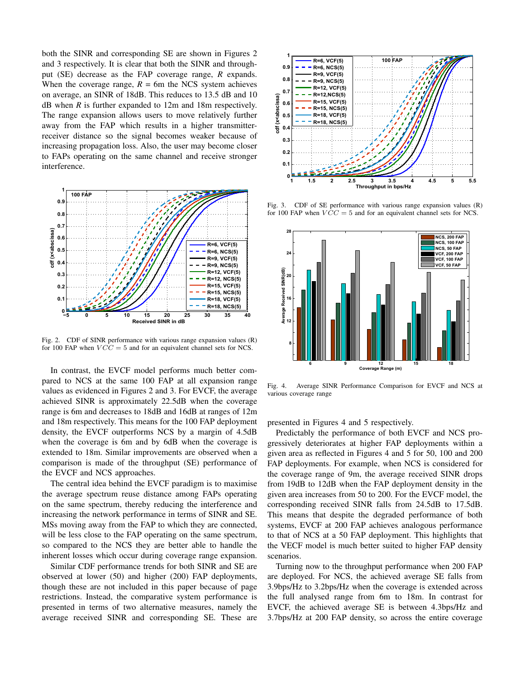both the SINR and corresponding SE are shown in Figures 2 and 3 respectively. It is clear that both the SINR and throughput (SE) decrease as the FAP coverage range, *R* expands. When the coverage range,  $R = 6m$  the NCS system achieves on average, an SINR of 18dB. This reduces to 13.5 dB and 10 dB when *R* is further expanded to 12m and 18m respectively. The range expansion allows users to move relatively further away from the FAP which results in a higher transmitterreceiver distance so the signal becomes weaker because of increasing propagation loss. Also, the user may become closer to FAPs operating on the same channel and receive stronger interference.



Fig. 2. CDF of SINR performance with various range expansion values (R) for 100 FAP when  $VCC = 5$  and for an equivalent channel sets for NCS.

In contrast, the EVCF model performs much better compared to NCS at the same 100 FAP at all expansion range values as evidenced in Figures 2 and 3. For EVCF, the average achieved SINR is approximately 22.5dB when the coverage range is 6m and decreases to 18dB and 16dB at ranges of 12m and 18m respectively. This means for the 100 FAP deployment density, the EVCF outperforms NCS by a margin of 4.5dB when the coverage is 6m and by 6dB when the coverage is extended to 18m. Similar improvements are observed when a comparison is made of the throughput (SE) performance of the EVCF and NCS approaches.

The central idea behind the EVCF paradigm is to maximise the average spectrum reuse distance among FAPs operating on the same spectrum, thereby reducing the interference and increasing the network performance in terms of SINR and SE. MSs moving away from the FAP to which they are connected, will be less close to the FAP operating on the same spectrum, so compared to the NCS they are better able to handle the inherent losses which occur during coverage range expansion.

Similar CDF performance trends for both SINR and SE are observed at lower (50) and higher (200) FAP deployments, though these are not included in this paper because of page restrictions. Instead, the comparative system performance is presented in terms of two alternative measures, namely the average received SINR and corresponding SE. These are



Fig. 3. CDF of SE performance with various range expansion values (R) for 100 FAP when  $VCC = 5$  and for an equivalent channel sets for NCS.



Fig. 4. Average SINR Performance Comparison for EVCF and NCS at various coverage range

presented in Figures 4 and 5 respectively.

Predictably the performance of both EVCF and NCS progressively deteriorates at higher FAP deployments within a given area as reflected in Figures 4 and 5 for 50, 100 and 200 FAP deployments. For example, when NCS is considered for the coverage range of 9m, the average received SINR drops from 19dB to 12dB when the FAP deployment density in the given area increases from 50 to 200. For the EVCF model, the corresponding received SINR falls from 24.5dB to 17.5dB. This means that despite the degraded performance of both systems, EVCF at 200 FAP achieves analogous performance to that of NCS at a 50 FAP deployment. This highlights that the VECF model is much better suited to higher FAP density scenarios.

Turning now to the throughput performance when 200 FAP are deployed. For NCS, the achieved average SE falls from 3.9bps/Hz to 3.2bps/Hz when the coverage is extended across the full analysed range from 6m to 18m. In contrast for EVCF, the achieved average SE is between 4.3bps/Hz and 3.7bps/Hz at 200 FAP density, so across the entire coverage